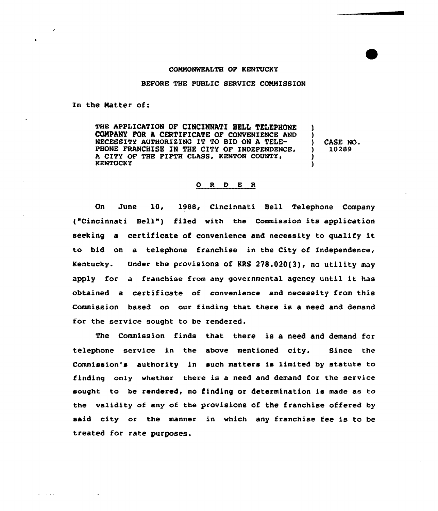## COMMONWEALTH OF KENTUCKY

## BEFORE THE PUBLIC SERVICE COMMISSION

In the Matter of:

THE APPLICATION OF CINCINNATI BELL TELEPHONE COMPANY FOR A CERTIFICATE OF CONVENIENCE AND NECESSITY AUTHORIZING IT TO BID ON A TELE-PHONE FRANCHISE IN THE CITY OF INDEPENDENCE. A CITY OF THE FIFTH CLASS, KENTON COUNTY,<br>KENTUCKY ) ) ) CASE NO. ) 10289 ) )

## 0 <sup>R</sup> <sup>D</sup> E <sup>R</sup>

On June 10, 1988, Cincinnati Bell Telephone Company ("Cincinnati Bell" ) filed with the Commission its application seeking <sup>a</sup> certificate of convenience and necessity to qualify it to bid on a telephone franchise in the City of Independence, Kentucky. Under the provisions of KRS 278.020(3), no utility may apply for <sup>a</sup> franchise from any governmental agency until it has obtained a certificate of convenience and necessity from this Commission based on our finding that there is a need and demand for the service sought to be rendered.

The Commission finds that there is a need and demand for telephone service in the above mentioned city. Since the Commission's authority in such matters is limited by statute to finding only whether there is a need and demand for the service sought to be rendered, no finding or determination is made as to the validity of any of the provisions of the franchise offered by said city or the manner in which any franchise fee is to be treated for rate purposes.